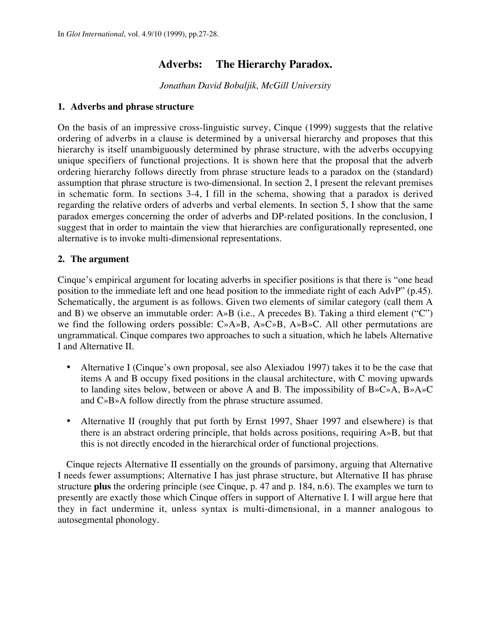# **Adverbs: The Hierarchy Paradox.**

*Jonathan David Bobaljik, McGill University*

### **1. Adverbs and phrase structure**

On the basis of an impressive cross-linguistic survey, Cinque (1999) suggests that the relative ordering of adverbs in a clause is determined by a universal hierarchy and proposes that this hierarchy is itself unambiguously determined by phrase structure, with the adverbs occupying unique specifiers of functional projections. It is shown here that the proposal that the adverb ordering hierarchy follows directly from phrase structure leads to a paradox on the (standard) assumption that phrase structure is two-dimensional. In section 2, I present the relevant premises in schematic form. In sections 3-4, I fill in the schema, showing that a paradox is derived regarding the relative orders of adverbs and verbal elements. In section 5, I show that the same paradox emerges concerning the order of adverbs and DP-related positions. In the conclusion, I suggest that in order to maintain the view that hierarchies are configurationally represented, one alternative is to invoke multi-dimensional representations.

## **2. The argument**

Cinque's empirical argument for locating adverbs in specifier positions is that there is "one head position to the immediate left and one head position to the immediate right of each AdvP" (p.45). Schematically, the argument is as follows. Given two elements of similar category (call them A and B) we observe an immutable order: A»B (i.e., A precedes B). Taking a third element ("C") we find the following orders possible: C»A»B, A»C»B, A»B»C. All other permutations are ungrammatical. Cinque compares two approaches to such a situation, which he labels Alternative I and Alternative II.

Alternative I (Cinque's own proposal, see also Alexiadou 1997) takes it to be the case that items A and B occupy fixed positions in the clausal architecture, with C moving upwards to landing sites below, between or above A and B. The impossibility of B»C»A, B»A»C and C»B»A follow directly from the phrase structure assumed.

Alternative II (roughly that put forth by Ernst 1997, Shaer 1997 and elsewhere) is that there is an abstract ordering principle, that holds across positions, requiring A»B, but that this is not directly encoded in the hierarchical order of functional projections.

Cinque rejects Alternative II essentially on the grounds of parsimony, arguing that Alternative I needs fewer assumptions; Alternative I has just phrase structure, but Alternative II has phrase structure **plus** the ordering principle (see Cinque, p. 47 and p. 184, n.6). The examples we turn to presently are exactly those which Cinque offers in support of Alternative I. I will argue here that they in fact undermine it, unless syntax is multi-dimensional, in a manner analogous to autosegmental phonology.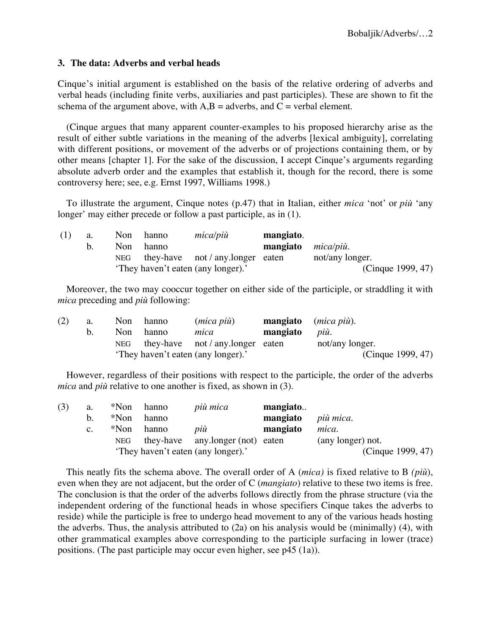### **3. The data: Adverbs and verbal heads**

Cinque's initial argument is established on the basis of the relative ordering of adverbs and verbal heads (including finite verbs, auxiliaries and past participles). These are shown to fit the schema of the argument above, with  $A,B =$  adverbs, and  $C =$  verbal element.

(Cinque argues that many apparent counter-examples to his proposed hierarchy arise as the result of either subtle variations in the meaning of the adverbs [lexical ambiguity], correlating with different positions, or movement of the adverbs or of projections containing them, or by other means [chapter 1]. For the sake of the discussion, I accept Cinque's arguments regarding absolute adverb order and the examples that establish it, though for the record, there is some controversy here; see, e.g. Ernst 1997, Williams 1998.)

To illustrate the argument, Cinque notes (p.47) that in Italian, either *mica* 'not' or *più* 'any longer' may either precede or follow a past participle, as in (1).

| (1) | a. | Non        | hanno | mica/più                           | mangiato.                  |                   |
|-----|----|------------|-------|------------------------------------|----------------------------|-------------------|
|     |    | Non.       | hanno |                                    | mangiato <i>mica/più</i> . |                   |
|     |    | <b>NEG</b> |       | they-have not / any.longer eaten   |                            | not/any longer.   |
|     |    |            |       | 'They haven't eaten (any longer).' |                            | (Cinque 1999, 47) |

Moreover, the two may cooccur together on either side of the participle, or straddling it with *mica* preceding and *più* following:

| (2) | a. | Non  | hanno | (mica più)                             |          | <b>mangiato</b> ( <i>mica più</i> ). |
|-----|----|------|-------|----------------------------------------|----------|--------------------------------------|
|     | b. | Non. | hanno | mica                                   | mangiato | pui.                                 |
|     |    |      |       | NEG they-have not $/$ any longer eaten |          | not/any longer.                      |
|     |    |      |       | 'They haven't eaten (any longer).'     |          | (Cinque 1999, 47)                    |

However, regardless of their positions with respect to the participle, the order of the adverbs *mica* and *più* relative to one another is fixed, as shown in (3).

| (3) | a.          |            | *Non hanno | più mica                           | mangiato |                   |
|-----|-------------|------------|------------|------------------------------------|----------|-------------------|
|     | b.          | *Non       | hanno      |                                    | mangiato | più mica.         |
|     | $c_{\cdot}$ | *Non       | hanno      | più                                | mangiato | mica.             |
|     |             | <b>NEG</b> |            | they-have any longer (not) eaten   |          | (any longer) not. |
|     |             |            |            | 'They haven't eaten (any longer).' |          | (Cinque 1999, 47) |

This neatly fits the schema above. The overall order of A (*mica)* is fixed relative to B *(più*), even when they are not adjacent, but the order of C (*mangiato*) relative to these two items is free. The conclusion is that the order of the adverbs follows directly from the phrase structure (via the independent ordering of the functional heads in whose specifiers Cinque takes the adverbs to reside) while the participle is free to undergo head movement to any of the various heads hosting the adverbs. Thus, the analysis attributed to (2a) on his analysis would be (minimally) (4), with other grammatical examples above corresponding to the participle surfacing in lower (trace) positions. (The past participle may occur even higher, see p45 (1a)).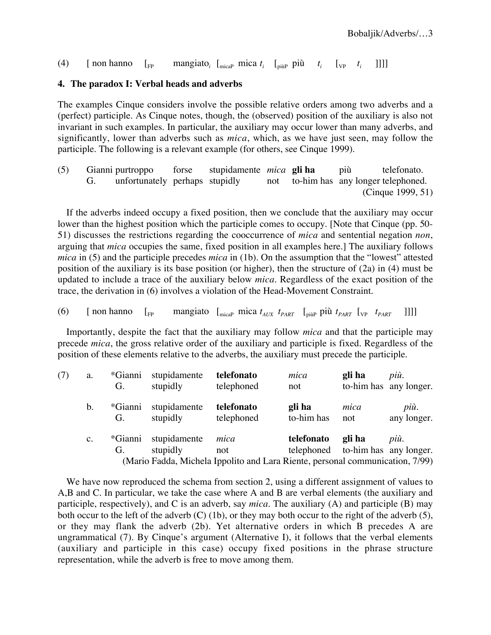## (4)  $\left[\text{non hanno }\right]_{FP}$  mangiato<sub>i</sub>  $\left[\text{mica } t_i \right]_{pi\text{pi}}$  più  $t_i \left[\text{v}_P \left[t_i \right] \right]$

### **4. The paradox I: Verbal heads and adverbs**

The examples Cinque considers involve the possible relative orders among two adverbs and a (perfect) participle. As Cinque notes, though, the (observed) position of the auxiliary is also not invariant in such examples. In particular, the auxiliary may occur lower than many adverbs, and significantly, lower than adverbs such as *mica*, which, as we have just seen, may follow the participle. The following is a relevant example (for others, see Cinque 1999).

(5) Gianni purtroppo forse stupidamente *mica* **gli ha** più telefonato. G. unfortunately perhaps stupidly not to-him has any longer telephoned. (Cinque 1999, 51)

If the adverbs indeed occupy a fixed position, then we conclude that the auxiliary may occur lower than the highest position which the participle comes to occupy. [Note that Cinque (pp. 50- 51) discusses the restrictions regarding the cooccurrence of *mica* and sentential negation *non*, arguing that *mica* occupies the same, fixed position in all examples here.] The auxiliary follows *mica* in (5) and the participle precedes *mica* in (1b). On the assumption that the "lowest" attested position of the auxiliary is its base position (or higher), then the structure of (2a) in (4) must be updated to include a trace of the auxiliary below *mica*. Regardless of the exact position of the trace, the derivation in (6) involves a violation of the Head-Movement Constraint.

(6) [ non hanno 
$$
[F_P]
$$
 mangiato  $[m_{\text{cap}} \text{ mica } t_{AUX} \text{ } t_{PART} \text{ } [m_{\text{cap}} \text{ pii } t_{PART} \text{ } [m_{\text{cap}} \text{ } t_{PART} \text{ } ]]]]$ 

Importantly, despite the fact that the auxiliary may follow *mica* and that the participle may precede *mica*, the gross relative order of the auxiliary and participle is fixed. Regardless of the position of these elements relative to the adverbs, the auxiliary must precede the participle.

| (7) | a.             | *Gianni<br>G. | stupidamente<br>stupidly | telefonato<br>telephoned                                                                     | mica<br>not                                     | gli ha      | più.<br>to-him has any longer. |
|-----|----------------|---------------|--------------------------|----------------------------------------------------------------------------------------------|-------------------------------------------------|-------------|--------------------------------|
|     | $\mathbf b$ .  | *Gianni<br>G. | stupidamente<br>stupidly | telefonato<br>telephoned                                                                     | gli ha<br>to-him has                            | mica<br>not | più.<br>any longer.            |
|     | $\mathbf{c}$ . | *Gianni<br>G. | stupidamente<br>stupidly | mica<br>not<br>(Mario Fadda, Michela Ippolito and Lara Riente, personal communication, 7/99) | telefonato<br>telephoned to-him has any longer. | gli ha      | più.                           |

We have now reproduced the schema from section 2, using a different assignment of values to A,B and C. In particular, we take the case where A and B are verbal elements (the auxiliary and participle, respectively), and C is an adverb, say *mica*. The auxiliary (A) and participle (B) may both occur to the left of the adverb (C) (1b), or they may both occur to the right of the adverb (5), or they may flank the adverb (2b). Yet alternative orders in which B precedes A are ungrammatical (7). By Cinque's argument (Alternative I), it follows that the verbal elements (auxiliary and participle in this case) occupy fixed positions in the phrase structure representation, while the adverb is free to move among them.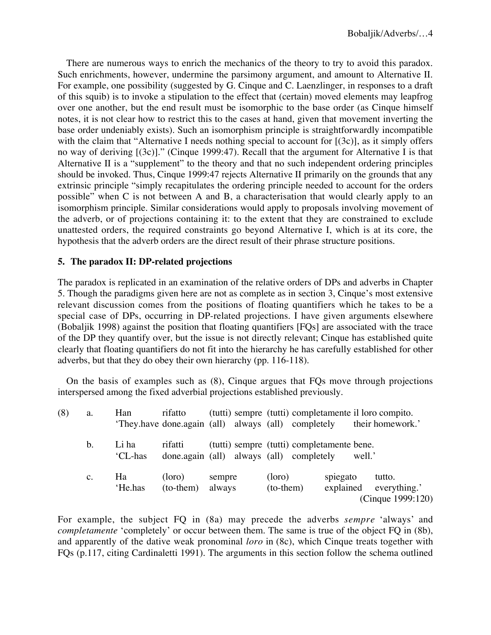There are numerous ways to enrich the mechanics of the theory to try to avoid this paradox. Such enrichments, however, undermine the parsimony argument, and amount to Alternative II. For example, one possibility (suggested by G. Cinque and C. Laenzlinger, in responses to a draft of this squib) is to invoke a stipulation to the effect that (certain) moved elements may leapfrog over one another, but the end result must be isomorphic to the base order (as Cinque himself notes, it is not clear how to restrict this to the cases at hand, given that movement inverting the base order undeniably exists). Such an isomorphism principle is straightforwardly incompatible with the claim that "Alternative I needs nothing special to account for  $[(3c)]$ , as it simply offers no way of deriving [(3c)]." (Cinque 1999:47). Recall that the argument for Alternative I is that Alternative II is a "supplement" to the theory and that no such independent ordering principles should be invoked. Thus, Cinque 1999:47 rejects Alternative II primarily on the grounds that any extrinsic principle "simply recapitulates the ordering principle needed to account for the orders possible" when C is not between A and B, a characterisation that would clearly apply to an isomorphism principle. Similar considerations would apply to proposals involving movement of the adverb, or of projections containing it: to the extent that they are constrained to exclude unattested orders, the required constraints go beyond Alternative I, which is at its core, the hypothesis that the adverb orders are the direct result of their phrase structure positions.

## **5. The paradox II: DP-related projections**

The paradox is replicated in an examination of the relative orders of DPs and adverbs in Chapter 5. Though the paradigms given here are not as complete as in section 3, Cinque's most extensive relevant discussion comes from the positions of floating quantifiers which he takes to be a special case of DPs, occurring in DP-related projections. I have given arguments elsewhere (Bobaljik 1998) against the position that floating quantifiers [FQs] are associated with the trace of the DP they quantify over, but the issue is not directly relevant; Cinque has established quite clearly that floating quantifiers do not fit into the hierarchy he has carefully established for other adverbs, but that they do obey their own hierarchy (pp. 116-118).

On the basis of examples such as (8), Cinque argues that FQs move through projections interspersed among the fixed adverbial projections established previously.

| (8) | a.             | Han              | rifatto<br>'They.have done.again (all) always (all) completely |                  |                       |                                            |                       | (tutti) sempre (tutti) completamente il loro compito.<br>their homework.' |
|-----|----------------|------------------|----------------------------------------------------------------|------------------|-----------------------|--------------------------------------------|-----------------------|---------------------------------------------------------------------------|
|     | b.             | Li ha<br>'CL-has | rifatti<br>done.again (all) always (all) completely            |                  |                       | (tutti) sempre (tutti) completamente bene. |                       | well.'                                                                    |
|     | $\mathbf{c}$ . | Ha<br>'He.has    | (loro)<br>$(to-them)$                                          | sempre<br>always | (loro)<br>$(to-them)$ |                                            | spiegato<br>explained | tutto.<br>everything.'<br>(Cinque 1999:120)                               |

For example, the subject FQ in (8a) may precede the adverbs *sempre* 'always' and *completamente* 'completely' or occur between them. The same is true of the object FO in (8b), and apparently of the dative weak pronominal *loro* in (8c), which Cinque treats together with FQs (p.117, citing Cardinaletti 1991). The arguments in this section follow the schema outlined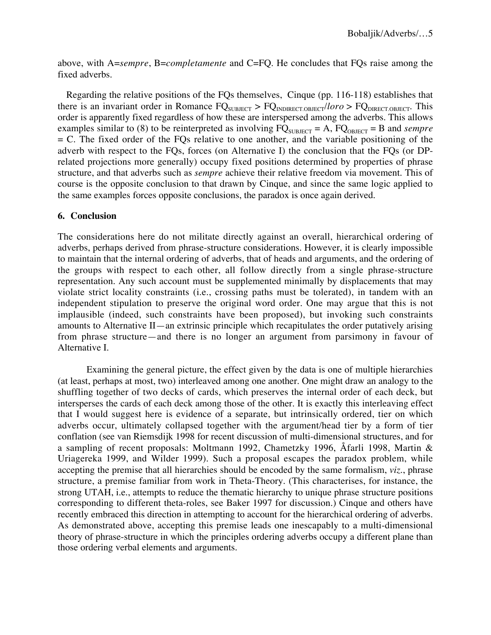above, with A=*sempre*, B=*completamente* and C=FQ. He concludes that FQs raise among the fixed adverbs.

Regarding the relative positions of the FQs themselves, Cinque (pp. 116-118) establishes that there is an invariant order in Romance  $FQ_{SUBHECT} > FQ_{INDIRECT.OBJECT}/*loro* > FQ_{DIRECT.OBJECT}$ . This order is apparently fixed regardless of how these are interspersed among the adverbs. This allows examples similar to (8) to be reinterpreted as involving  $FQ_{\text{SUBIECT}} = A$ ,  $FQ_{\text{OBIECT}} = B$  and *sempre*  $= C$ . The fixed order of the FQs relative to one another, and the variable positioning of the adverb with respect to the FQs, forces (on Alternative I) the conclusion that the FQs (or DPrelated projections more generally) occupy fixed positions determined by properties of phrase structure, and that adverbs such as *sempre* achieve their relative freedom via movement. This of course is the opposite conclusion to that drawn by Cinque, and since the same logic applied to the same examples forces opposite conclusions, the paradox is once again derived.

### **6. Conclusion**

The considerations here do not militate directly against an overall, hierarchical ordering of adverbs, perhaps derived from phrase-structure considerations. However, it is clearly impossible to maintain that the internal ordering of adverbs, that of heads and arguments, and the ordering of the groups with respect to each other, all follow directly from a single phrase-structure representation. Any such account must be supplemented minimally by displacements that may violate strict locality constraints (i.e., crossing paths must be tolerated), in tandem with an independent stipulation to preserve the original word order. One may argue that this is not implausible (indeed, such constraints have been proposed), but invoking such constraints amounts to Alternative II—an extrinsic principle which recapitulates the order putatively arising from phrase structure—and there is no longer an argument from parsimony in favour of Alternative I.

Examining the general picture, the effect given by the data is one of multiple hierarchies (at least, perhaps at most, two) interleaved among one another. One might draw an analogy to the shuffling together of two decks of cards, which preserves the internal order of each deck, but intersperses the cards of each deck among those of the other. It is exactly this interleaving effect that I would suggest here is evidence of a separate, but intrinsically ordered, tier on which adverbs occur, ultimately collapsed together with the argument/head tier by a form of tier conflation (see van Riemsdijk 1998 for recent discussion of multi-dimensional structures, and for a sampling of recent proposals: Moltmann 1992, Chametzky 1996, Åfarli 1998, Martin & Uriagereka 1999, and Wilder 1999). Such a proposal escapes the paradox problem, while accepting the premise that all hierarchies should be encoded by the same formalism, *viz.*, phrase structure, a premise familiar from work in Theta-Theory. (This characterises, for instance, the strong UTAH, i.e., attempts to reduce the thematic hierarchy to unique phrase structure positions corresponding to different theta-roles, see Baker 1997 for discussion.) Cinque and others have recently embraced this direction in attempting to account for the hierarchical ordering of adverbs. As demonstrated above, accepting this premise leads one inescapably to a multi-dimensional theory of phrase-structure in which the principles ordering adverbs occupy a different plane than those ordering verbal elements and arguments.